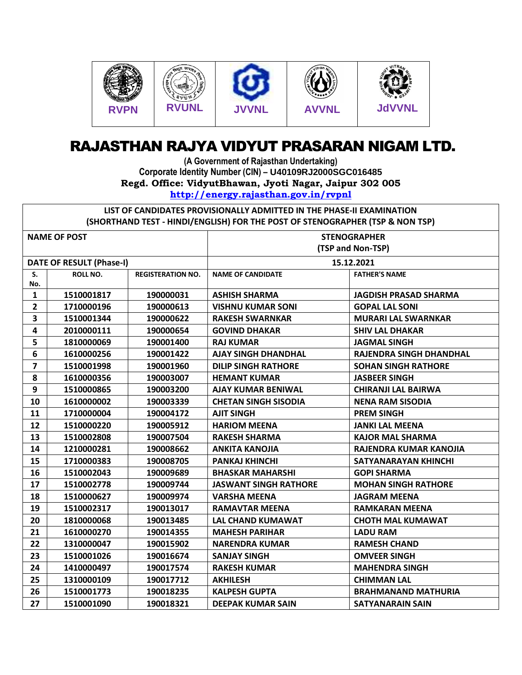

## RAJASTHAN RAJYA VIDYUT PRASARAN NIGAM LTD.

**(A Government of Rajasthan Undertaking) Corporate Identity Number (CIN) – U40109RJ2000SGC016485 Regd. Office: VidyutBhawan, Jyoti Nagar, Jaipur 302 005 <http://energy.rajasthan.gov.in/rvpnl>**

**LIST OF CANDIDATES PROVISIONALLY ADMITTED IN THE PHASE-II EXAMINATION (SHORTHAND TEST - HINDI/ENGLISH) FOR THE POST OF STENOGRAPHER (TSP & NON TSP)**

| <b>NAME OF POST</b>             |                 |                          | <b>STENOGRAPHER</b>          |                              |
|---------------------------------|-----------------|--------------------------|------------------------------|------------------------------|
|                                 |                 |                          | (TSP and Non-TSP)            |                              |
| <b>DATE OF RESULT (Phase-I)</b> |                 |                          | 15.12.2021                   |                              |
| S.                              | <b>ROLL NO.</b> | <b>REGISTERATION NO.</b> | <b>NAME OF CANDIDATE</b>     | <b>FATHER'S NAME</b>         |
| No.                             |                 |                          |                              |                              |
| $\mathbf{1}$                    | 1510001817      | 190000031                | <b>ASHISH SHARMA</b>         | <b>JAGDISH PRASAD SHARMA</b> |
| $\overline{2}$                  | 1710000196      | 190000613                | <b>VISHNU KUMAR SONI</b>     | <b>GOPAL LAL SONI</b>        |
| $\overline{\mathbf{3}}$         | 1510001344      | 190000622                | <b>RAKESH SWARNKAR</b>       | <b>MURARI LAL SWARNKAR</b>   |
| 4                               | 2010000111      | 190000654                | <b>GOVIND DHAKAR</b>         | <b>SHIV LAL DHAKAR</b>       |
| 5                               | 1810000069      | 190001400                | <b>RAJ KUMAR</b>             | <b>JAGMAL SINGH</b>          |
| 6                               | 1610000256      | 190001422                | <b>AJAY SINGH DHANDHAL</b>   | RAJENDRA SINGH DHANDHAL      |
| $\overline{\mathbf{z}}$         | 1510001998      | 190001960                | <b>DILIP SINGH RATHORE</b>   | <b>SOHAN SINGH RATHORE</b>   |
| 8                               | 1610000356      | 190003007                | <b>HEMANT KUMAR</b>          | <b>JASBEER SINGH</b>         |
| 9                               | 1510000865      | 190003200                | <b>AJAY KUMAR BENIWAL</b>    | <b>CHIRANJI LAL BAIRWA</b>   |
| 10                              | 1610000002      | 190003339                | <b>CHETAN SINGH SISODIA</b>  | <b>NENA RAM SISODIA</b>      |
| 11                              | 1710000004      | 190004172                | <b>AJIT SINGH</b>            | <b>PREM SINGH</b>            |
| 12                              | 1510000220      | 190005912                | <b>HARIOM MEENA</b>          | <b>JANKI LAL MEENA</b>       |
| 13                              | 1510002808      | 190007504                | <b>RAKESH SHARMA</b>         | <b>KAJOR MAL SHARMA</b>      |
| 14                              | 1210000281      | 190008662                | <b>ANKITA KANOJIA</b>        | RAJENDRA KUMAR KANOJIA       |
| 15                              | 1710000383      | 190008705                | <b>PANKAJ KHINCHI</b>        | SATYANARAYAN KHINCHI         |
| 16                              | 1510002043      | 190009689                | <b>BHASKAR MAHARSHI</b>      | <b>GOPI SHARMA</b>           |
| 17                              | 1510002778      | 190009744                | <b>JASWANT SINGH RATHORE</b> | <b>MOHAN SINGH RATHORE</b>   |
| 18                              | 1510000627      | 190009974                | <b>VARSHA MEENA</b>          | <b>JAGRAM MEENA</b>          |
| 19                              | 1510002317      | 190013017                | <b>RAMAVTAR MEENA</b>        | <b>RAMKARAN MEENA</b>        |
| 20                              | 1810000068      | 190013485                | LAL CHAND KUMAWAT            | <b>CHOTH MAL KUMAWAT</b>     |
| 21                              | 1610000270      | 190014355                | <b>MAHESH PARIHAR</b>        | <b>LADU RAM</b>              |
| 22                              | 1310000047      | 190015902                | <b>NARENDRA KUMAR</b>        | <b>RAMESH CHAND</b>          |
| 23                              | 1510001026      | 190016674                | <b>SANJAY SINGH</b>          | <b>OMVEER SINGH</b>          |
| 24                              | 1410000497      | 190017574                | <b>RAKESH KUMAR</b>          | <b>MAHENDRA SINGH</b>        |
| 25                              | 1310000109      | 190017712                | <b>AKHILESH</b>              | <b>CHIMMAN LAL</b>           |
| 26                              | 1510001773      | 190018235                | <b>KALPESH GUPTA</b>         | <b>BRAHMANAND MATHURIA</b>   |
| 27                              | 1510001090      | 190018321                | <b>DEEPAK KUMAR SAIN</b>     | <b>SATYANARAIN SAIN</b>      |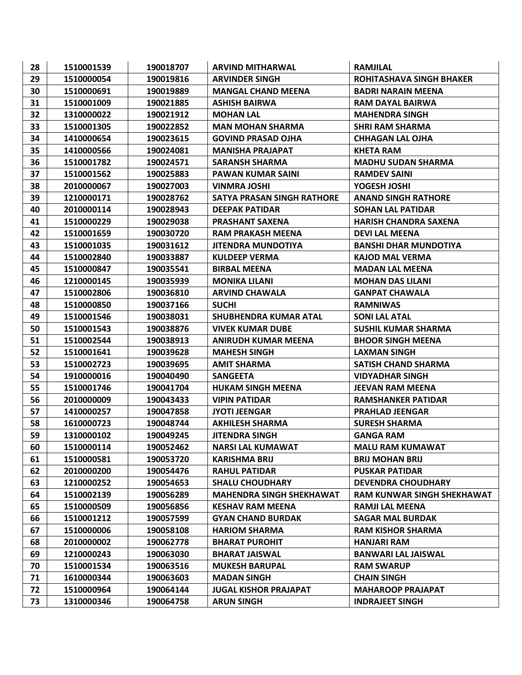| 28 | 1510001539 | 190018707 | <b>ARVIND MITHARWAL</b>           | <b>RAMJILAL</b>                   |
|----|------------|-----------|-----------------------------------|-----------------------------------|
| 29 | 1510000054 | 190019816 | <b>ARVINDER SINGH</b>             | <b>ROHITASHAVA SINGH BHAKER</b>   |
| 30 | 1510000691 | 190019889 | <b>MANGAL CHAND MEENA</b>         | <b>BADRI NARAIN MEENA</b>         |
| 31 | 1510001009 | 190021885 | <b>ASHISH BAIRWA</b>              | <b>RAM DAYAL BAIRWA</b>           |
| 32 | 1310000022 | 190021912 | <b>MOHAN LAL</b>                  | <b>MAHENDRA SINGH</b>             |
| 33 | 1510001305 | 190022852 | <b>MAN MOHAN SHARMA</b>           | <b>SHRI RAM SHARMA</b>            |
| 34 | 1410000654 | 190023615 | <b>GOVIND PRASAD OJHA</b>         | <b>CHHAGAN LAL OJHA</b>           |
| 35 | 1410000566 | 190024081 | <b>MANISHA PRAJAPAT</b>           | <b>KHETA RAM</b>                  |
| 36 | 1510001782 | 190024571 | <b>SARANSH SHARMA</b>             | <b>MADHU SUDAN SHARMA</b>         |
| 37 | 1510001562 | 190025883 | <b>PAWAN KUMAR SAINI</b>          | <b>RAMDEV SAINI</b>               |
| 38 | 2010000067 | 190027003 | <b>VINMRA JOSHI</b>               | <b>YOGESH JOSHI</b>               |
| 39 | 1210000171 | 190028762 | <b>SATYA PRASAN SINGH RATHORE</b> | <b>ANAND SINGH RATHORE</b>        |
| 40 | 2010000114 | 190028943 | <b>DEEPAK PATIDAR</b>             | <b>SOHAN LAL PATIDAR</b>          |
| 41 | 1510000229 | 190029038 | <b>PRASHANT SAXENA</b>            | <b>HARISH CHANDRA SAXENA</b>      |
| 42 | 1510001659 | 190030720 | <b>RAM PRAKASH MEENA</b>          | <b>DEVILAL MEENA</b>              |
| 43 | 1510001035 | 190031612 | <b>JITENDRA MUNDOTIYA</b>         | <b>BANSHI DHAR MUNDOTIYA</b>      |
| 44 | 1510002840 | 190033887 | <b>KULDEEP VERMA</b>              | <b>KAJOD MAL VERMA</b>            |
| 45 | 1510000847 | 190035541 | <b>BIRBAL MEENA</b>               | <b>MADAN LAL MEENA</b>            |
| 46 | 1210000145 | 190035939 | <b>MONIKA LILANI</b>              | <b>MOHAN DAS LILANI</b>           |
| 47 | 1510002806 | 190036810 | <b>ARVIND CHAWALA</b>             | <b>GANPAT CHAWALA</b>             |
| 48 | 1510000850 | 190037166 | <b>SUCHI</b>                      | <b>RAMNIWAS</b>                   |
| 49 | 1510001546 | 190038031 | <b>SHUBHENDRA KUMAR ATAL</b>      | <b>SONI LAL ATAL</b>              |
| 50 | 1510001543 | 190038876 | <b>VIVEK KUMAR DUBE</b>           | SUSHIL KUMAR SHARMA               |
| 51 | 1510002544 | 190038913 | <b>ANIRUDH KUMAR MEENA</b>        | <b>BHOOR SINGH MEENA</b>          |
| 52 | 1510001641 | 190039628 | <b>MAHESH SINGH</b>               | <b>LAXMAN SINGH</b>               |
| 53 | 1510002723 | 190039695 | <b>AMIT SHARMA</b>                | <b>SATISH CHAND SHARMA</b>        |
| 54 | 1910000016 | 190040490 | <b>SANGEETA</b>                   | <b>VIDYADHAR SINGH</b>            |
| 55 | 1510001746 | 190041704 | <b>HUKAM SINGH MEENA</b>          | <b>JEEVAN RAM MEENA</b>           |
| 56 | 2010000009 | 190043433 | <b>VIPIN PATIDAR</b>              | <b>RAMSHANKER PATIDAR</b>         |
| 57 | 1410000257 | 190047858 | <b>JYOTI JEENGAR</b>              | <b>PRAHLAD JEENGAR</b>            |
| 58 | 1610000723 | 190048744 | <b>AKHILESH SHARMA</b>            | <b>SURESH SHARMA</b>              |
| 59 | 1310000102 | 190049245 | <b>JITENDRA SINGH</b>             | <b>GANGA RAM</b>                  |
| 60 | 1510000114 | 190052462 | <b>NARSI LAL KUMAWAT</b>          | <b>MALU RAM KUMAWAT</b>           |
| 61 | 1510000581 | 190053720 | <b>KARISHMA BRIJ</b>              | <b>BRIJ MOHAN BRIJ</b>            |
| 62 | 2010000200 | 190054476 | <b>RAHUL PATIDAR</b>              | <b>PUSKAR PATIDAR</b>             |
| 63 | 1210000252 | 190054653 | <b>SHALU CHOUDHARY</b>            | <b>DEVENDRA CHOUDHARY</b>         |
| 64 | 1510002139 | 190056289 | <b>MAHENDRA SINGH SHEKHAWAT</b>   | <b>RAM KUNWAR SINGH SHEKHAWAT</b> |
| 65 | 1510000509 | 190056856 | <b>KESHAV RAM MEENA</b>           | <b>RAMJI LAL MEENA</b>            |
| 66 | 1510001212 | 190057599 | <b>GYAN CHAND BURDAK</b>          | <b>SAGAR MAL BURDAK</b>           |
| 67 | 1510000006 | 190058108 | <b>HARIOM SHARMA</b>              | <b>RAM KISHOR SHARMA</b>          |
| 68 | 2010000002 | 190062778 | <b>BHARAT PUROHIT</b>             | <b>HANJARI RAM</b>                |
| 69 | 1210000243 | 190063030 | <b>BHARAT JAISWAL</b>             | <b>BANWARI LAL JAISWAL</b>        |
| 70 | 1510001534 | 190063516 | <b>MUKESH BARUPAL</b>             | <b>RAM SWARUP</b>                 |
| 71 | 1610000344 | 190063603 | <b>MADAN SINGH</b>                | <b>CHAIN SINGH</b>                |
| 72 | 1510000964 | 190064144 | <b>JUGAL KISHOR PRAJAPAT</b>      | <b>MAHAROOP PRAJAPAT</b>          |
| 73 | 1310000346 | 190064758 | <b>ARUN SINGH</b>                 | <b>INDRAJEET SINGH</b>            |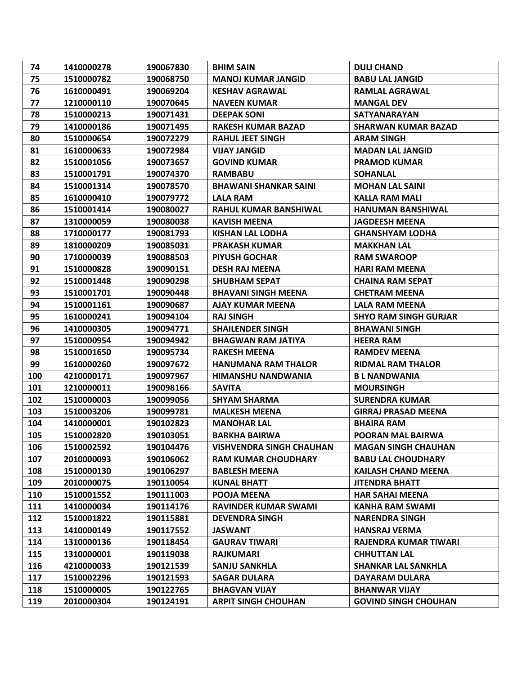| 74  | 1410000278 | 190067830 | <b>BHIM SAIN</b>                | <b>DULI CHAND</b>            |
|-----|------------|-----------|---------------------------------|------------------------------|
| 75  | 1510000782 | 190068750 | <b>MANOJ KUMAR JANGID</b>       | <b>BABU LAL JANGID</b>       |
| 76  | 1610000491 | 190069204 | <b>KESHAV AGRAWAL</b>           | <b>RAMLAL AGRAWAL</b>        |
| 77  | 1210000110 | 190070645 | <b>NAVEEN KUMAR</b>             | <b>MANGAL DEV</b>            |
| 78  | 1510000213 | 190071431 | <b>DEEPAK SONI</b>              | <b>SATYANARAYAN</b>          |
| 79  | 1410000186 | 190071495 | <b>RAKESH KUMAR BAZAD</b>       | <b>SHARWAN KUMAR BAZAD</b>   |
| 80  | 1510000654 | 190072279 | <b>RAHUL JEET SINGH</b>         | <b>ARAM SINGH</b>            |
| 81  | 1610000633 | 190072984 | <b>VIJAY JANGID</b>             | <b>MADAN LAL JANGID</b>      |
| 82  | 1510001056 | 190073657 | <b>GOVIND KUMAR</b>             | <b>PRAMOD KUMAR</b>          |
| 83  | 1510001791 | 190074370 | <b>RAMBABU</b>                  | <b>SOHANLAL</b>              |
| 84  | 1510001314 | 190078570 | <b>BHAWANI SHANKAR SAINI</b>    | <b>MOHAN LAL SAINI</b>       |
| 85  | 1610000410 | 190079772 | <b>LALA RAM</b>                 | <b>KALLA RAM MALI</b>        |
| 86  | 1510001414 | 190080027 | RAHUL KUMAR BANSHIWAL           | <b>HANUMAN BANSHIWAL</b>     |
| 87  | 1310000059 | 190080038 | <b>KAVISH MEENA</b>             | <b>JAGDEESH MEENA</b>        |
| 88  | 1710000177 | 190081793 | <b>KISHAN LAL LODHA</b>         | <b>GHANSHYAM LODHA</b>       |
| 89  | 1810000209 | 190085031 | <b>PRAKASH KUMAR</b>            | <b>MAKKHAN LAL</b>           |
| 90  | 1710000039 | 190088503 | <b>PIYUSH GOCHAR</b>            | <b>RAM SWAROOP</b>           |
| 91  | 1510000828 | 190090151 | <b>DESH RAJ MEENA</b>           | <b>HARI RAM MEENA</b>        |
| 92  | 1510001448 | 190090298 | <b>SHUBHAM SEPAT</b>            | <b>CHAINA RAM SEPAT</b>      |
| 93  | 1510001701 | 190090448 | <b>BHAVANI SINGH MEENA</b>      | <b>CHETRAM MEENA</b>         |
| 94  | 1510001161 | 190090687 | <b>AJAY KUMAR MEENA</b>         | LALA RAM MEENA               |
| 95  | 1610000241 | 190094104 | <b>RAJ SINGH</b>                | <b>SHYO RAM SINGH GURJAR</b> |
| 96  | 1410000305 | 190094771 | <b>SHAILENDER SINGH</b>         | <b>BHAWANI SINGH</b>         |
| 97  | 1510000954 | 190094942 | <b>BHAGWAN RAM JATIYA</b>       | <b>HEERA RAM</b>             |
| 98  | 1510001650 | 190095734 | <b>RAKESH MEENA</b>             | <b>RAMDEV MEENA</b>          |
| 99  | 1610000260 | 190097672 | <b>HANUMANA RAM THALOR</b>      | <b>RIDMAL RAM THALOR</b>     |
| 100 | 4210000171 | 190097967 | <b>HIMANSHU NANDWANIA</b>       | <b>BL NANDWANIA</b>          |
| 101 | 1210000011 | 190098166 | <b>SAVITA</b>                   | <b>MOURSINGH</b>             |
| 102 | 1510000003 | 190099056 | <b>SHYAM SHARMA</b>             | <b>SURENDRA KUMAR</b>        |
| 103 | 1510003206 | 190099781 | <b>MALKESH MEENA</b>            | <b>GIRRAJ PRASAD MEENA</b>   |
| 104 | 1410000001 |           |                                 |                              |
|     |            | 190102823 | <b>MANOHAR LAL</b>              | <b>BHAIRA RAM</b>            |
| 105 | 1510002820 | 190103051 | <b>BARKHA BAIRWA</b>            | POORAN MAL BAIRWA            |
| 106 | 1510002592 | 190104476 | <b>VISHVENDRA SINGH CHAUHAN</b> | <b>MAGAN SINGH CHAUHAN</b>   |
| 107 | 2010000093 | 190106062 | <b>RAM KUMAR CHOUDHARY</b>      | <b>BABU LAL CHOUDHARY</b>    |
| 108 | 1510000130 | 190106297 | <b>BABLESH MEENA</b>            | <b>KAILASH CHAND MEENA</b>   |
| 109 | 2010000075 | 190110054 | <b>KUNAL BHATT</b>              | <b>JITENDRA BHATT</b>        |
| 110 | 1510001552 | 190111003 | POOJA MEENA                     | <b>HAR SAHAI MEENA</b>       |
| 111 | 1410000034 | 190114176 | <b>RAVINDER KUMAR SWAMI</b>     | <b>KANHA RAM SWAMI</b>       |
| 112 | 1510001822 | 190115881 | <b>DEVENDRA SINGH</b>           | <b>NARENDRA SINGH</b>        |
| 113 | 1410000149 | 190117552 | <b>JASWANT</b>                  | <b>HANSRAJ VERMA</b>         |
| 114 | 1310000136 | 190118454 | <b>GAURAV TIWARI</b>            | RAJENDRA KUMAR TIWARI        |
| 115 | 1310000001 | 190119038 | <b>RAJKUMARI</b>                | <b>CHHUTTAN LAL</b>          |
| 116 | 4210000033 | 190121539 | <b>SANJU SANKHLA</b>            | <b>SHANKAR LAL SANKHLA</b>   |
| 117 | 1510002296 | 190121593 | <b>SAGAR DULARA</b>             | DAYARAM DULARA               |
| 118 | 1510000005 | 190122765 | <b>BHAGVAN VIJAY</b>            | <b>BHANWAR VIJAY</b>         |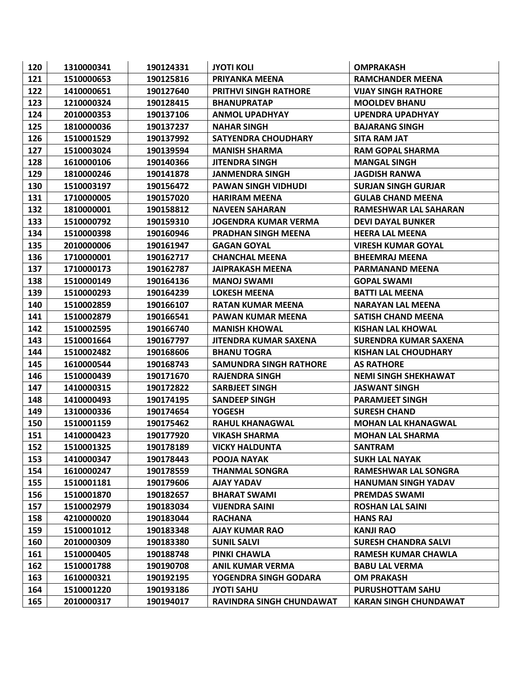| 120 | 1310000341 | 190124331 | <b>JYOTI KOLI</b>             | <b>OMPRAKASH</b>             |
|-----|------------|-----------|-------------------------------|------------------------------|
| 121 | 1510000653 | 190125816 | <b>PRIYANKA MEENA</b>         | <b>RAMCHANDER MEENA</b>      |
| 122 | 1410000651 | 190127640 | <b>PRITHVI SINGH RATHORE</b>  | <b>VIJAY SINGH RATHORE</b>   |
| 123 | 1210000324 | 190128415 | <b>BHANUPRATAP</b>            | <b>MOOLDEV BHANU</b>         |
| 124 | 2010000353 | 190137106 | <b>ANMOL UPADHYAY</b>         | <b>UPENDRA UPADHYAY</b>      |
| 125 | 1810000036 | 190137237 | <b>NAHAR SINGH</b>            | <b>BAJARANG SINGH</b>        |
| 126 | 1510001529 | 190137992 | <b>SATYENDRA CHOUDHARY</b>    | <b>SITA RAM JAT</b>          |
| 127 | 1510003024 | 190139594 | <b>MANISH SHARMA</b>          | <b>RAM GOPAL SHARMA</b>      |
| 128 | 1610000106 | 190140366 | <b>JITENDRA SINGH</b>         | <b>MANGAL SINGH</b>          |
| 129 | 1810000246 | 190141878 | JANMENDRA SINGH               | <b>JAGDISH RANWA</b>         |
| 130 | 1510003197 | 190156472 | <b>PAWAN SINGH VIDHUDI</b>    | <b>SURJAN SINGH GURJAR</b>   |
| 131 | 1710000005 | 190157020 | <b>HARIRAM MEENA</b>          | <b>GULAB CHAND MEENA</b>     |
| 132 | 1810000001 | 190158812 | <b>NAVEEN SAHARAN</b>         | <b>RAMESHWAR LAL SAHARAN</b> |
| 133 | 1510000792 | 190159310 | JOGENDRA KUMAR VERMA          | <b>DEVI DAYAL BUNKER</b>     |
| 134 | 1510000398 | 190160946 | PRADHAN SINGH MEENA           | <b>HEERA LAL MEENA</b>       |
| 135 | 2010000006 | 190161947 | <b>GAGAN GOYAL</b>            | <b>VIRESH KUMAR GOYAL</b>    |
| 136 | 1710000001 | 190162717 | <b>CHANCHAL MEENA</b>         | <b>BHEEMRAJ MEENA</b>        |
| 137 | 1710000173 | 190162787 | <b>JAIPRAKASH MEENA</b>       | <b>PARMANAND MEENA</b>       |
| 138 | 1510000149 | 190164136 | <b>MANOJ SWAMI</b>            | <b>GOPAL SWAMI</b>           |
| 139 | 1510000293 | 190164239 | <b>LOKESH MEENA</b>           | <b>BATTI LAL MEENA</b>       |
| 140 | 1510002859 | 190166107 | <b>RATAN KUMAR MEENA</b>      | <b>NARAYAN LAL MEENA</b>     |
| 141 | 1510002879 | 190166541 | <b>PAWAN KUMAR MEENA</b>      | <b>SATISH CHAND MEENA</b>    |
| 142 | 1510002595 | 190166740 | <b>MANISH KHOWAL</b>          | <b>KISHAN LAL KHOWAL</b>     |
| 143 | 1510001664 | 190167797 | <b>JITENDRA KUMAR SAXENA</b>  | <b>SURENDRA KUMAR SAXENA</b> |
| 144 | 1510002482 | 190168606 | <b>BHANU TOGRA</b>            | <b>KISHAN LAL CHOUDHARY</b>  |
| 145 | 1610000544 | 190168743 | <b>SAMUNDRA SINGH RATHORE</b> | <b>AS RATHORE</b>            |
| 146 | 1510000439 | 190171670 | <b>RAJENDRA SINGH</b>         | <b>NEMI SINGH SHEKHAWAT</b>  |
| 147 | 1410000315 | 190172822 | <b>SARBJEET SINGH</b>         | <b>JASWANT SINGH</b>         |
| 148 | 1410000493 | 190174195 | <b>SANDEEP SINGH</b>          | <b>PARAMJEET SINGH</b>       |
| 149 | 1310000336 | 190174654 | <b>YOGESH</b>                 | <b>SURESH CHAND</b>          |
| 150 | 1510001159 | 190175462 | <b>RAHUL KHANAGWAL</b>        | <b>MOHAN LAL KHANAGWAL</b>   |
| 151 | 1410000423 | 190177920 | <b>VIKASH SHARMA</b>          | <b>MOHAN LAL SHARMA</b>      |
| 152 | 1510001325 | 190178189 | <b>VICKY HALDUNTA</b>         | <b>SANTRAM</b>               |
| 153 | 1410000347 | 190178443 | POOJA NAYAK                   | <b>SUKH LAL NAYAK</b>        |
| 154 | 1610000247 | 190178559 | <b>THANMAL SONGRA</b>         | RAMESHWAR LAL SONGRA         |
| 155 | 1510001181 | 190179606 | <b>AJAY YADAV</b>             | <b>HANUMAN SINGH YADAV</b>   |
| 156 | 1510001870 | 190182657 | <b>BHARAT SWAMI</b>           | <b>PREMDAS SWAMI</b>         |
| 157 | 1510002979 | 190183034 | <b>VIJENDRA SAINI</b>         | <b>ROSHAN LAL SAINI</b>      |
| 158 | 4210000020 | 190183044 | <b>RACHANA</b>                | <b>HANS RAJ</b>              |
| 159 | 1510001012 | 190183348 | <b>AJAY KUMAR RAO</b>         | <b>KANJI RAO</b>             |
| 160 | 2010000309 | 190183380 | <b>SUNIL SALVI</b>            | <b>SURESH CHANDRA SALVI</b>  |
| 161 | 1510000405 | 190188748 | PINKI CHAWLA                  | RAMESH KUMAR CHAWLA          |
| 162 | 1510001788 | 190190708 | <b>ANIL KUMAR VERMA</b>       | <b>BABU LAL VERMA</b>        |
| 163 | 1610000321 | 190192195 | YOGENDRA SINGH GODARA         | <b>OM PRAKASH</b>            |
| 164 | 1510001220 | 190193186 | <b>JYOTI SAHU</b>             | <b>PURUSHOTTAM SAHU</b>      |
| 165 | 2010000317 | 190194017 | RAVINDRA SINGH CHUNDAWAT      | <b>KARAN SINGH CHUNDAWAT</b> |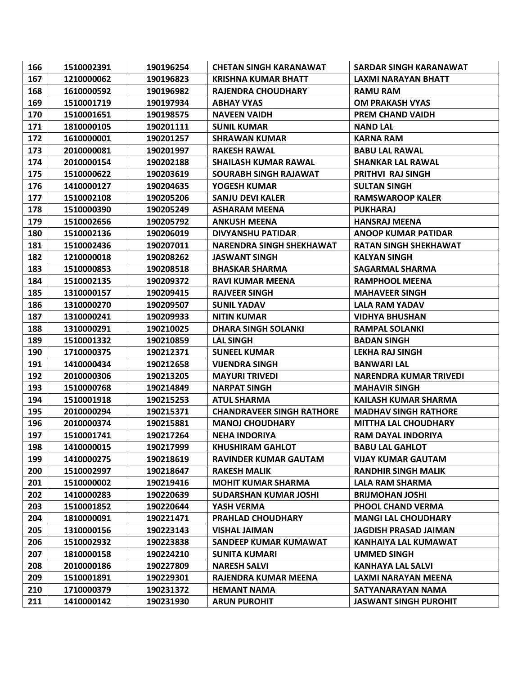| 166 | 1510002391 | 190196254 | <b>CHETAN SINGH KARANAWAT</b>    | SARDAR SINGH KARANAWAT       |
|-----|------------|-----------|----------------------------------|------------------------------|
| 167 | 1210000062 | 190196823 | <b>KRISHNA KUMAR BHATT</b>       | <b>LAXMI NARAYAN BHATT</b>   |
| 168 | 1610000592 | 190196982 | <b>RAJENDRA CHOUDHARY</b>        | <b>RAMU RAM</b>              |
| 169 | 1510001719 | 190197934 | <b>ABHAY VYAS</b>                | <b>OM PRAKASH VYAS</b>       |
| 170 | 1510001651 | 190198575 | <b>NAVEEN VAIDH</b>              | PREM CHAND VAIDH             |
| 171 | 1810000105 | 190201111 | <b>SUNIL KUMAR</b>               | <b>NAND LAL</b>              |
| 172 | 1610000001 | 190201257 | <b>SHRAWAN KUMAR</b>             | <b>KARNA RAM</b>             |
| 173 | 2010000081 | 190201997 | <b>RAKESH RAWAL</b>              | <b>BABU LAL RAWAL</b>        |
| 174 | 2010000154 | 190202188 | <b>SHAILASH KUMAR RAWAL</b>      | <b>SHANKAR LAL RAWAL</b>     |
| 175 | 1510000622 | 190203619 | SOURABH SINGH RAJAWAT            | <b>PRITHVI RAJ SINGH</b>     |
| 176 | 1410000127 | 190204635 | YOGESH KUMAR                     | <b>SULTAN SINGH</b>          |
| 177 | 1510002108 | 190205206 | <b>SANJU DEVI KALER</b>          | <b>RAMSWAROOP KALER</b>      |
| 178 | 1510000390 | 190205249 | <b>ASHARAM MEENA</b>             | <b>PUKHARAJ</b>              |
| 179 | 1510002656 | 190205792 | <b>ANKUSH MEENA</b>              | <b>HANSRAJ MEENA</b>         |
| 180 | 1510002136 | 190206019 | <b>DIVYANSHU PATIDAR</b>         | <b>ANOOP KUMAR PATIDAR</b>   |
| 181 | 1510002436 | 190207011 | <b>NARENDRA SINGH SHEKHAWAT</b>  | <b>RATAN SINGH SHEKHAWAT</b> |
| 182 | 1210000018 | 190208262 | <b>JASWANT SINGH</b>             | <b>KALYAN SINGH</b>          |
| 183 | 1510000853 | 190208518 | <b>BHASKAR SHARMA</b>            | <b>SAGARMAL SHARMA</b>       |
| 184 | 1510002135 | 190209372 | <b>RAVI KUMAR MEENA</b>          | <b>RAMPHOOL MEENA</b>        |
| 185 | 1310000157 | 190209415 | <b>RAJVEER SINGH</b>             | <b>MAHAVEER SINGH</b>        |
| 186 | 1310000270 | 190209507 | <b>SUNIL YADAV</b>               | <b>LALA RAM YADAV</b>        |
| 187 | 1310000241 | 190209933 | <b>NITIN KUMAR</b>               | <b>VIDHYA BHUSHAN</b>        |
| 188 | 1310000291 | 190210025 | <b>DHARA SINGH SOLANKI</b>       | <b>RAMPAL SOLANKI</b>        |
| 189 | 1510001332 | 190210859 | <b>LAL SINGH</b>                 | <b>BADAN SINGH</b>           |
| 190 | 1710000375 | 190212371 | <b>SUNEEL KUMAR</b>              | LEKHA RAJ SINGH              |
| 191 | 1410000434 | 190212658 | <b>VIJENDRA SINGH</b>            | <b>BANWARI LAL</b>           |
| 192 | 2010000306 | 190213205 | <b>MAYURI TRIVEDI</b>            | NARENDRA KUMAR TRIVEDI       |
| 193 | 1510000768 | 190214849 | <b>NARPAT SINGH</b>              | <b>MAHAVIR SINGH</b>         |
| 194 | 1510001918 | 190215253 | <b>ATUL SHARMA</b>               | <b>KAILASH KUMAR SHARMA</b>  |
| 195 | 2010000294 | 190215371 | <b>CHANDRAVEER SINGH RATHORE</b> | <b>MADHAV SINGH RATHORE</b>  |
| 196 | 2010000374 | 190215881 | <b>MANOJ CHOUDHARY</b>           | <b>MITTHA LAL CHOUDHARY</b>  |
| 197 | 1510001741 | 190217264 | <b>NEHA INDORIYA</b>             | <b>RAM DAYAL INDORIYA</b>    |
| 198 | 1410000015 | 190217999 | <b>KHUSHIRAM GAHLOT</b>          | <b>BABU LAL GAHLOT</b>       |
| 199 | 1410000275 | 190218619 | <b>RAVINDER KUMAR GAUTAM</b>     | <b>VIJAY KUMAR GAUTAM</b>    |
| 200 | 1510002997 | 190218647 | <b>RAKESH MALIK</b>              | <b>RANDHIR SINGH MALIK</b>   |
| 201 | 1510000002 | 190219416 | <b>MOHIT KUMAR SHARMA</b>        | LALA RAM SHARMA              |
| 202 | 1410000283 | 190220639 | <b>SUDARSHAN KUMAR JOSHI</b>     | <b>BRIJMOHAN JOSHI</b>       |
| 203 | 1510001852 | 190220644 | YASH VERMA                       | <b>PHOOL CHAND VERMA</b>     |
| 204 | 1810000091 | 190221471 | <b>PRAHLAD CHOUDHARY</b>         | <b>MANGI LAL CHOUDHARY</b>   |
| 205 | 1310000156 | 190223143 | <b>VISHAL JAIMAN</b>             | <b>JAGDISH PRASAD JAIMAN</b> |
| 206 | 1510002932 | 190223838 | <b>SANDEEP KUMAR KUMAWAT</b>     | KANHAIYA LAL KUMAWAT         |
| 207 | 1810000158 | 190224210 | <b>SUNITA KUMARI</b>             | <b>UMMED SINGH</b>           |
| 208 | 2010000186 | 190227809 | <b>NARESH SALVI</b>              | <b>KANHAYA LAL SALVI</b>     |
| 209 | 1510001891 | 190229301 | RAJENDRA KUMAR MEENA             | LAXMI NARAYAN MEENA          |
| 210 | 1710000379 | 190231372 | <b>HEMANT NAMA</b>               | SATYANARAYAN NAMA            |
| 211 | 1410000142 | 190231930 | <b>ARUN PUROHIT</b>              | <b>JASWANT SINGH PUROHIT</b> |